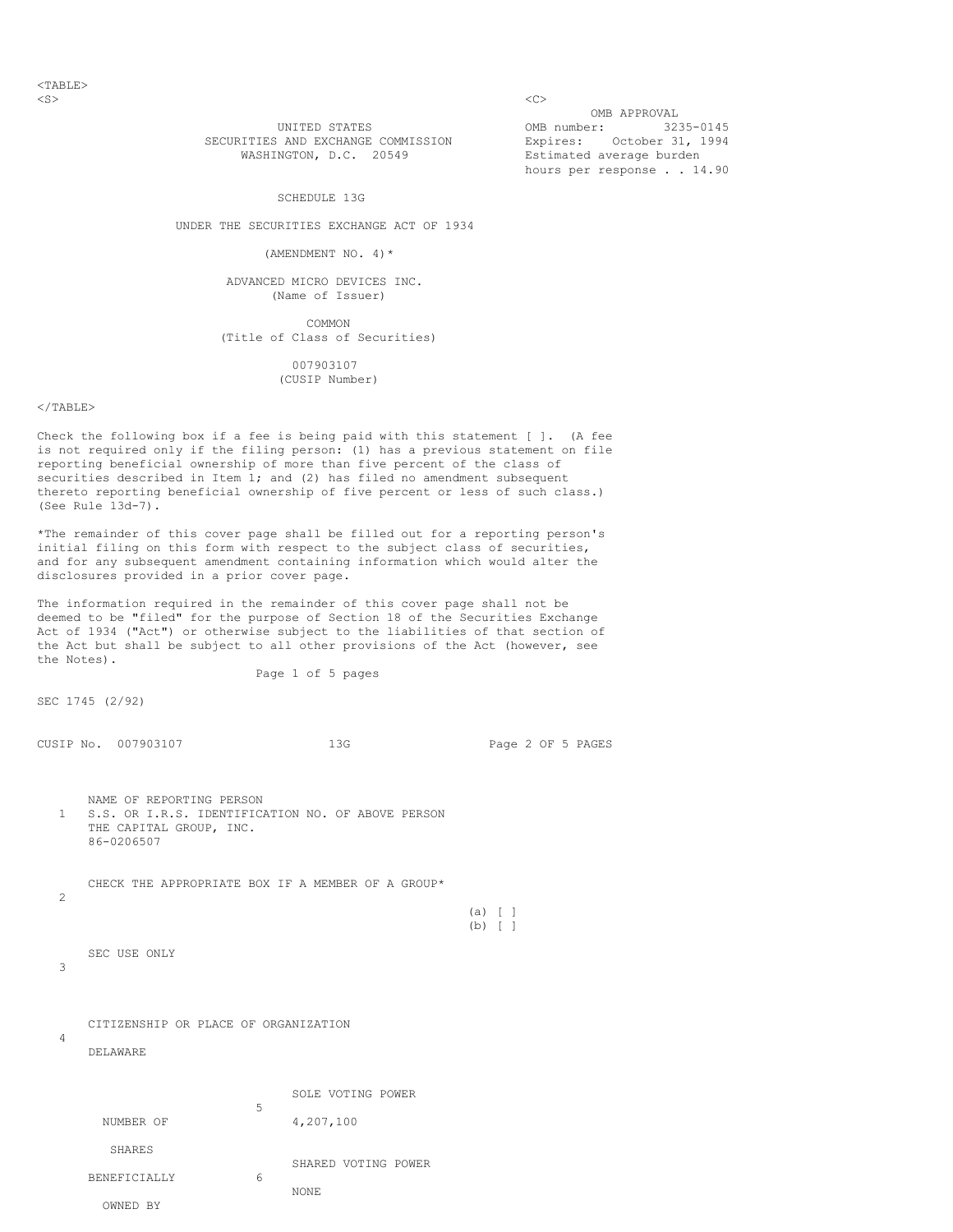$<$ TABLE $>$  $\langle$ S>  $\langle$ C>

OMB APPROVAL ONE STATES (32) OMB number: 3235-0145 Estimated average burden hours per response . . 14.90

SECURITIES AND EXCHANGE COMMISSION Expires: October 31, 1994<br>WASHINGTON, D.C. 20549 Estimated average burden

## SCHEDULE 13G

UNDER THE SECURITIES EXCHANGE ACT OF 1934

(AMENDMENT NO. 4)  $*$ 

 ADVANCED MICRO DEVICES INC. (Name of Issuer)

 COMMON (Title of Class of Securities)

> 007903107 (CUSIP Number)

## $<$ /TABLE>

Check the following box if a fee is being paid with this statement [ ]. (A fee is not required only if the filing person: (1) has a previous statement on file reporting beneficial ownership of more than five percent of the class of securities described in Item 1; and (2) has filed no amendment subsequent thereto reporting beneficial ownership of five percent or less of such class.) (See Rule 13d-7).

\*The remainder of this cover page shall be filled out for a reporting person's initial filing on this form with respect to the subject class of securities, and for any subsequent amendment containing information which would alter the disclosures provided in a prior cover page.

The information required in the remainder of this cover page shall not be deemed to be "filed" for the purpose of Section 18 of the Securities Exchange Act of 1934 ("Act") or otherwise subject to the liabilities of that section of the Act but shall be subject to all other provisions of the Act (however, see the Notes).

Page 1 of 5 pages

SEC 1745 (2/92)

CUSIP No. 007903107 13G Page 2 OF 5 PAGES NAME OF REPORTING PERSON 1 S.S. OR I.R.S. IDENTIFICATION NO. OF ABOVE PERSON

 THE CAPITAL GROUP, INC. 86-0206507

 CHECK THE APPROPRIATE BOX IF A MEMBER OF A GROUP\*  $\mathcal{L}$ 

 $(b)$  [ ]

(a)  $[$  ]

3

4

CITIZENSHIP OR PLACE OF ORGANIZATION

DELAWARE

SEC USE ONLY

|              | SOLE VOTING POWER        |
|--------------|--------------------------|
| NUMBER OF    | 5<br>4,207,100           |
| SHARES       |                          |
| BENEFICIALLY | SHARED VOTING POWER<br>6 |
| OWNED BY     | NONE                     |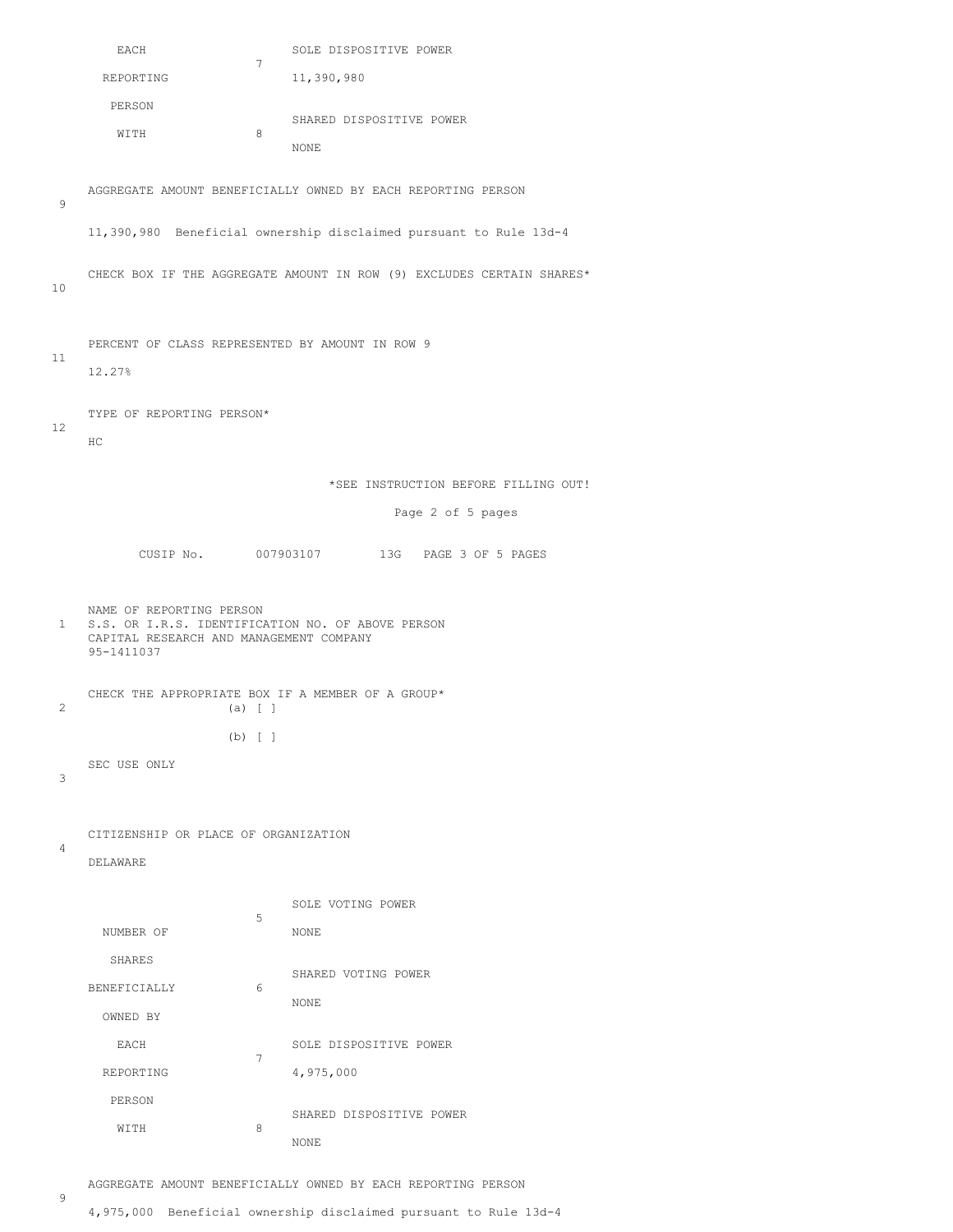|       | EACH                                                  |           | SOLE DISPOSITIVE POWER                                                |
|-------|-------------------------------------------------------|-----------|-----------------------------------------------------------------------|
|       | REPORTING                                             | 7         | 11,390,980                                                            |
|       | PERSON                                                |           |                                                                       |
|       | WITH                                                  | 8         | SHARED DISPOSITIVE POWER                                              |
|       |                                                       |           | NONE                                                                  |
| 9     |                                                       |           | AGGREGATE AMOUNT BENEFICIALLY OWNED BY EACH REPORTING PERSON          |
|       |                                                       |           | 11,390,980 Beneficial ownership disclaimed pursuant to Rule 13d-4     |
| 10    |                                                       |           | CHECK BOX IF THE AGGREGATE AMOUNT IN ROW (9) EXCLUDES CERTAIN SHARES* |
|       | PERCENT OF CLASS REPRESENTED BY AMOUNT IN ROW 9       |           |                                                                       |
| 11    | 12.27%                                                |           |                                                                       |
|       |                                                       |           |                                                                       |
| 12    | TYPE OF REPORTING PERSON*                             |           |                                                                       |
|       | HC.                                                   |           |                                                                       |
|       |                                                       |           | *SEE INSTRUCTION BEFORE FILLING OUT!                                  |
|       |                                                       |           | Page 2 of 5 pages                                                     |
|       |                                                       |           | CUSIP No. 007903107 13G PAGE 3 OF 5 PAGES                             |
|       |                                                       |           |                                                                       |
| $1 -$ | NAME OF REPORTING PERSON                              |           |                                                                       |
|       | CAPITAL RESEARCH AND MANAGEMENT COMPANY<br>95-1411037 |           | S.S. OR I.R.S. IDENTIFICATION NO. OF ABOVE PERSON                     |
|       |                                                       |           | CHECK THE APPROPRIATE BOX IF A MEMBER OF A GROUP*                     |
| 2     |                                                       | (a) [ ]   |                                                                       |
|       |                                                       | $(b)$ [ ] |                                                                       |
| 3     | SEC USE ONLY                                          |           |                                                                       |
|       |                                                       |           |                                                                       |
|       | CITIZENSHIP OR PLACE OF ORGANIZATION                  |           |                                                                       |
| 4     | <b>DELAWARE</b>                                       |           |                                                                       |
|       |                                                       |           |                                                                       |
|       |                                                       | 5         | SOLE VOTING POWER                                                     |
|       | NUMBER OF                                             |           | NONE                                                                  |
|       | SHARES                                                |           | SHARED VOTING POWER                                                   |
|       | BENEFICIALLY                                          | 6         | NONE                                                                  |
|       | OWNED BY                                              |           |                                                                       |
|       | EACH                                                  | 7         | SOLE DISPOSITIVE POWER                                                |
|       | REPORTING                                             |           | 4,975,000                                                             |
|       | PERSON<br>WITH                                        | 8         | SHARED DISPOSITIVE POWER                                              |

9

AGGREGATE AMOUNT BENEFICIALLY OWNED BY EACH REPORTING PERSON

4,975,000 Beneficial ownership disclaimed pursuant to Rule 13d-4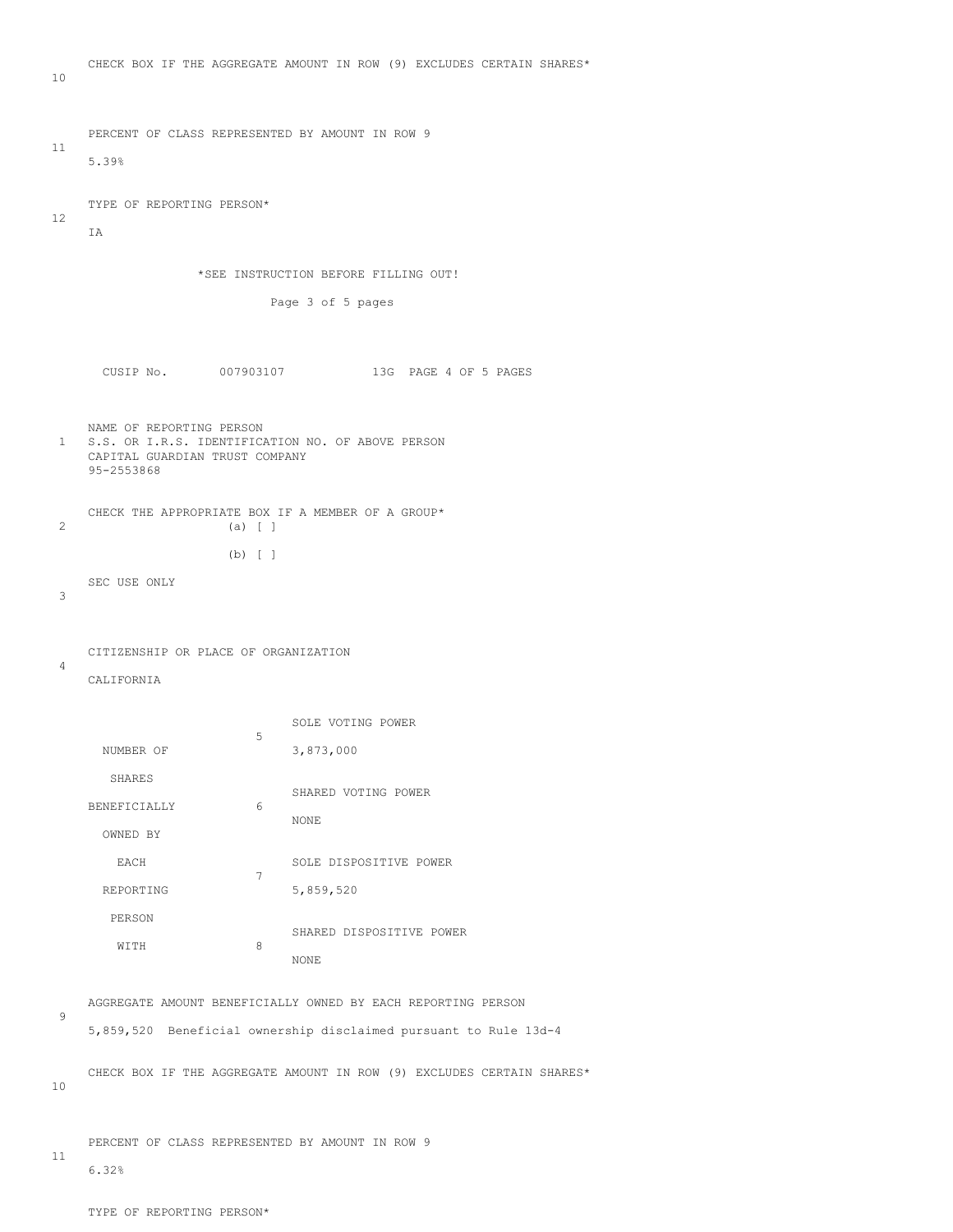```
 10
      PERCENT OF CLASS REPRESENTED BY AMOUNT IN ROW 9
  11
      5.39%
      TYPE OF REPORTING PERSON*
  12
     T<sub>A</sub>
                    *SEE INSTRUCTION BEFORE FILLING OUT!
                             Page 3 of 5 pages
        CUSIP No. 007903107 13G PAGE 4 OF 5 PAGES
  NAME OF REPORTING PERSON
    S.S. OR I.R.S. IDENTIFICATION NO. OF ABOVE PERSON
      CAPITAL GUARDIAN TRUST COMPANY
      95-2553868
  CHECK THE APPROPRIATE BOX IF A MEMBER OF A GROUP* (3) [ ]
                      (a) [ ]
                       (b) [ ]
      SEC USE ONLY
   3
      CITIZENSHIP OR PLACE OF ORGANIZATION
   4
      CALIFORNIA
                          SOLE VOTING POWER
5<sub>5</sub>NUMBER OF 3,873,000
         SHARES
                        SHARED VOTING POWER
      BENEFICIALLY 6
                               NONE
        OWNED BY
        EACH SOLE DISPOSITIVE POWER
       REPORTING 7
                              5,859,520
         PERSON
                          SHARED DISPOSITIVE POWER
          WITH 8
NONE NONE
      AGGREGATE AMOUNT BENEFICIALLY OWNED BY EACH REPORTING PERSON
   9
      5,859,520 Beneficial ownership disclaimed pursuant to Rule 13d-4
      CHECK BOX IF THE AGGREGATE AMOUNT IN ROW (9) EXCLUDES CERTAIN SHARES*
```
CHECK BOX IF THE AGGREGATE AMOUNT IN ROW (9) EXCLUDES CERTAIN SHARES\*

10

11

6.32%

PERCENT OF CLASS REPRESENTED BY AMOUNT IN ROW 9

TYPE OF REPORTING PERSON\*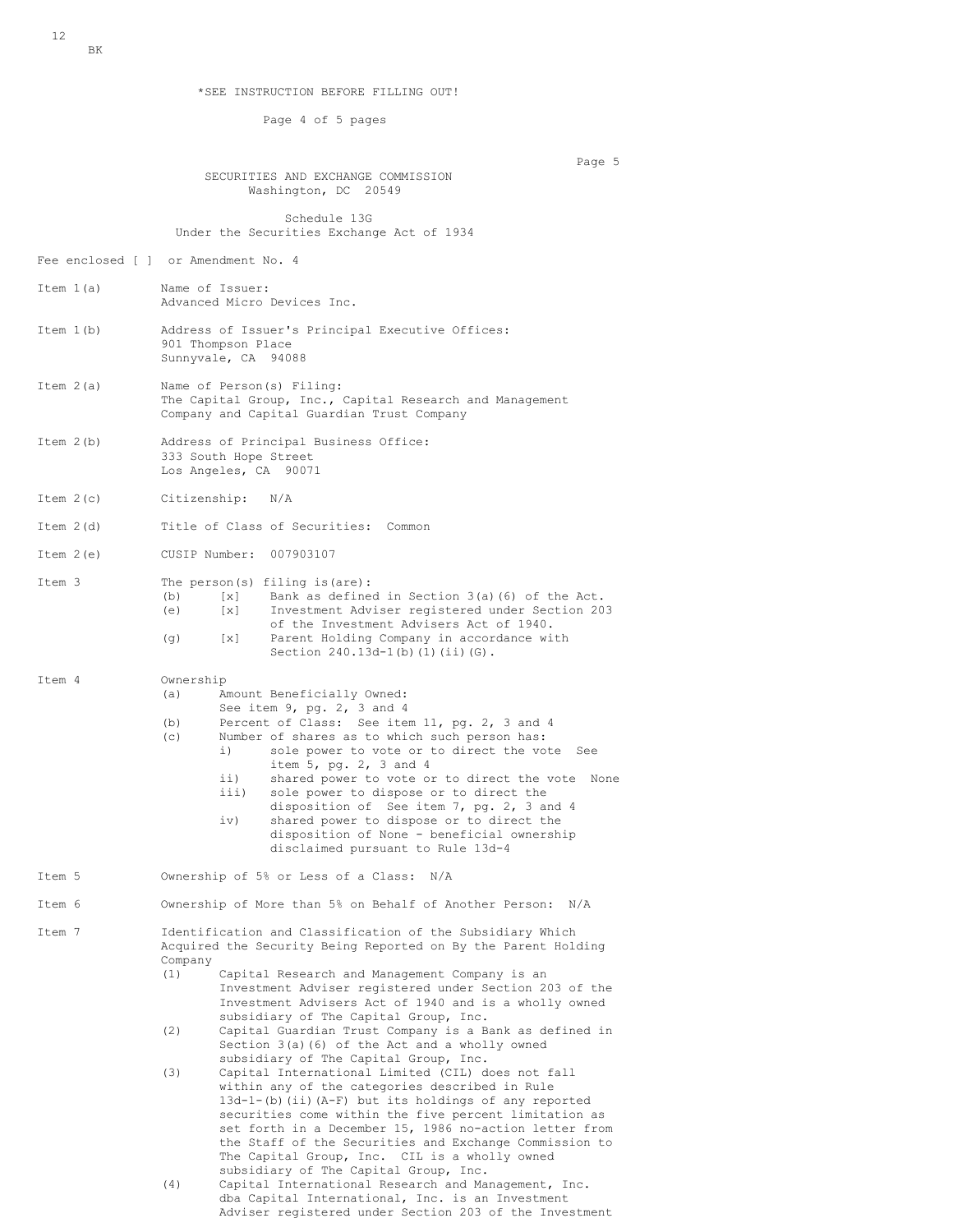\*SEE INSTRUCTION BEFORE FILLING OUT!

Page 4 of 5 pages

Page 5

 SECURITIES AND EXCHANGE COMMISSION Washington, DC 20549

 Schedule 13G Under the Securities Exchange Act of 1934

Fee enclosed [ ] or Amendment No. 4

- Item 1(a) Name of Issuer: Advanced Micro Devices Inc. Item 1(b) Address of Issuer's Principal Executive Offices: 901 Thompson Place
- Item 2(a) Name of Person(s) Filing: The Capital Group, Inc., Capital Research and Management Company and Capital Guardian Trust Company
- Item 2(b) Address of Principal Business Office: 333 South Hope Street Los Angeles, CA 90071

Sunnyvale, CA 94088

- Item 2(c) Citizenship: N/A
- Item 2(d) Title of Class of Securities: Common
- Item 2(e) CUSIP Number: 007903107
- Item 3 The person(s) filing is(are):<br>(b) [x] Bank as define Bank as defined in Section  $3(a)$  (6) of the Act. (e) [x] Investment Adviser registered under Section 203 of the Investment Advisers Act of 1940.<br>(a) [x] Parent Holding Company in accordance wi Parent Holding Company in accordance with Section 240.13d-1(b)(1)(ii)(G).

Item 4 Ownership<br>(a) Ar

- Amount Beneficially Owned:
- See item 9, pg. 2, 3 and 4
- (b) Percent of Class: See item 11, pg. 2, 3 and 4
	- (c) Number of shares as to which such person has:<br>i) sole power to yote or to direct the yo
		- sole power to vote or to direct the vote See item 5, pg. 2, 3 and 4<br>ii) shared nower to yote of
			- ii) shared power to vote or to direct the vote None<br>iii) sole power to dispose or to direct the
			- sole power to dispose or to direct the disposition of See item 7, pg. 2, 3 and 4<br>iv) shared power to dispose or to direct the shared power to dispose or to direct the disposition of None - beneficial ownership
		- disclaimed pursuant to Rule 13d-4
- Item 5 Ownership of 5% or Less of a Class: N/A
- Item 6 Ownership of More than 5% on Behalf of Another Person: N/A
- Item 7 Identification and Classification of the Subsidiary Which Acquired the Security Being Reported on By the Parent Holding Company<br>(1)
	- Capital Research and Management Company is an Investment Adviser registered under Section 203 of the Investment Advisers Act of 1940 and is a wholly owned subsidiary of The Capital Group, Inc.<br>(2) Capital Guardian Trust Company is a B.
	- Capital Guardian Trust Company is a Bank as defined in Section 3(a)(6) of the Act and a wholly owned subsidiary of The Capital Group, Inc.<br>(3) Capital International Limited (CIL) d
	- Capital International Limited (CIL) does not fall within any of the categories described in Rule 13d-1-(b)(ii)(A-F) but its holdings of any reported securities come within the five percent limitation as set forth in a December 15, 1986 no-action letter from the Staff of the Securities and Exchange Commission to The Capital Group, Inc. CIL is a wholly owned subsidiary of The Capital Group, Inc.<br>(4) Capital International Research and Ma
	- Capital International Research and Management, Inc. dba Capital International, Inc. is an Investment Adviser registered under Section 203 of the Investment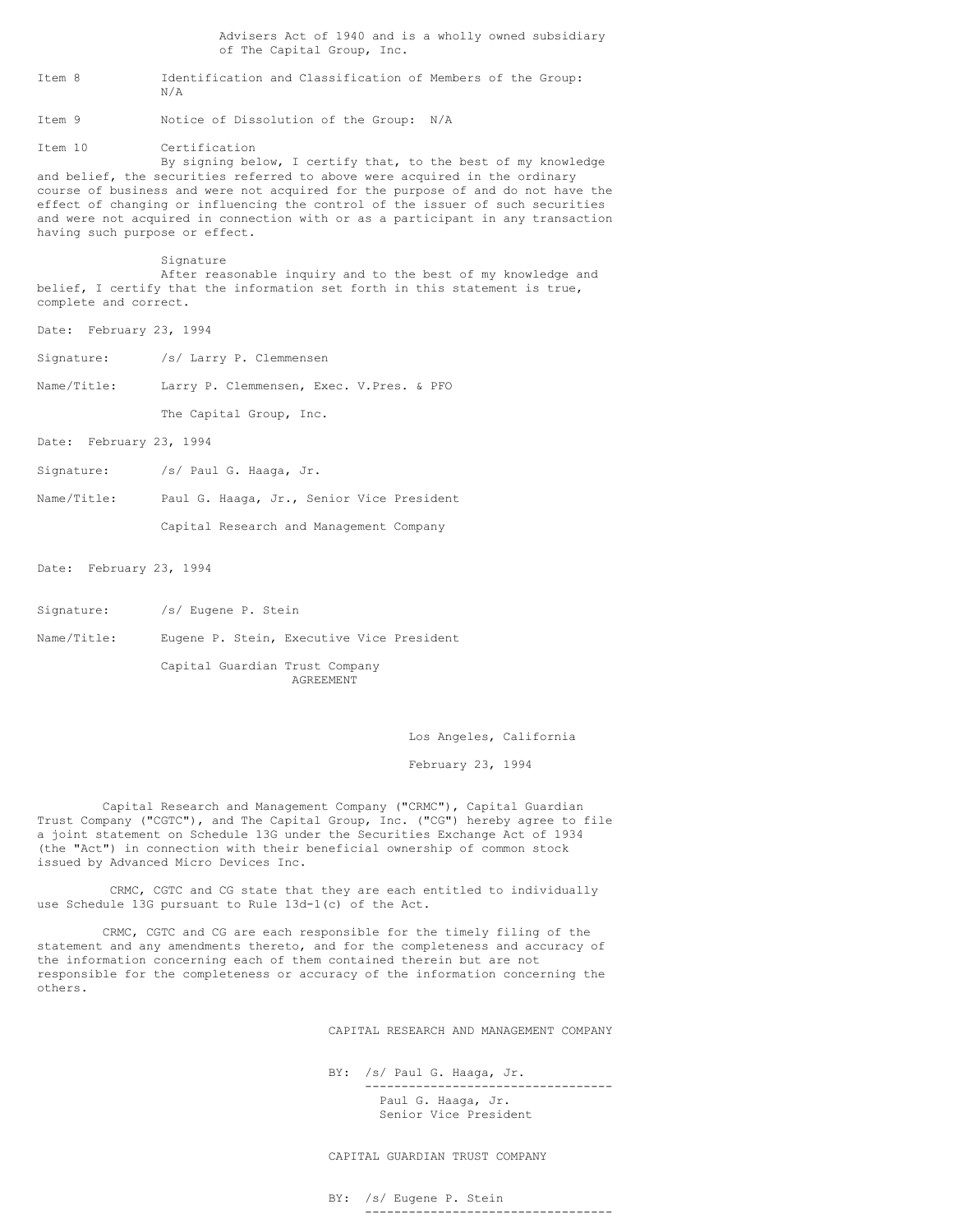Advisers Act of 1940 and is a wholly owned subsidiary of The Capital Group, Inc. Item 8 Identification and Classification of Members of the Group: N/A Item 9 Notice of Dissolution of the Group: N/A Item 10 Certification By signing below, I certify that, to the best of my knowledge and belief, the securities referred to above were acquired in the ordinary course of business and were not acquired for the purpose of and do not have the effect of changing or influencing the control of the issuer of such securities and were not acquired in connection with or as a participant in any transaction having such purpose or effect. Signature After reasonable inquiry and to the best of my knowledge and belief, I certify that the information set forth in this statement is true, complete and correct. Date: February 23, 1994 Signature: /s/ Larry P. Clemmensen Name/Title: Larry P. Clemmensen, Exec. V.Pres. & PFO The Capital Group, Inc. Date: February 23, 1994 Signature: /s/ Paul G. Haaga, Jr. Name/Title: Paul G. Haaga, Jr., Senior Vice President Capital Research and Management Company

Date: February 23, 1994

- Signature: /s/ Eugene P. Stein
- Name/Title: Eugene P. Stein, Executive Vice President

 Capital Guardian Trust Company AGREEMENT

Los Angeles, California

February 23, 1994

 Capital Research and Management Company ("CRMC"), Capital Guardian Trust Company ("CGTC"), and The Capital Group, Inc. ("CG") hereby agree to file a joint statement on Schedule 13G under the Securities Exchange Act of 1934 (the "Act") in connection with their beneficial ownership of common stock issued by Advanced Micro Devices Inc.

 CRMC, CGTC and CG state that they are each entitled to individually use Schedule 13G pursuant to Rule 13d-1(c) of the Act.

 CRMC, CGTC and CG are each responsible for the timely filing of the statement and any amendments thereto, and for the completeness and accuracy of the information concerning each of them contained therein but are not responsible for the completeness or accuracy of the information concerning the others.

CAPITAL RESEARCH AND MANAGEMENT COMPANY

 BY: /s/ Paul G. Haaga, Jr. ---------------------------------- Paul G. Haaga, Jr. Senior Vice President

CAPITAL GUARDIAN TRUST COMPANY

 BY: /s/ Eugene P. Stein ----------------------------------